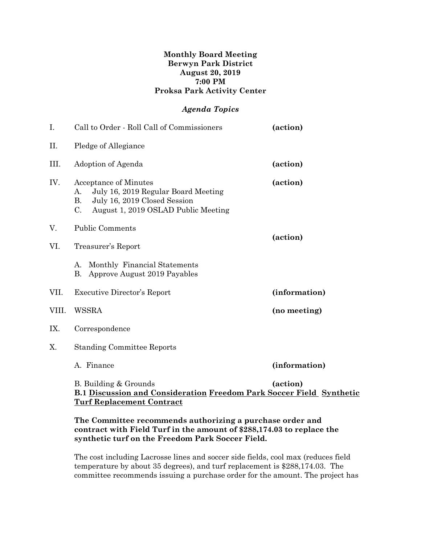#### **Monthly Board Meeting Berwyn Park District August 20, 2019 7:00 PM Proksa Park Activity Center**

## *Agenda Topics*

| I.    | Call to Order - Roll Call of Commissioners                                                                                                                                   | (action)      |
|-------|------------------------------------------------------------------------------------------------------------------------------------------------------------------------------|---------------|
| Π.    | Pledge of Allegiance                                                                                                                                                         |               |
| III.  | Adoption of Agenda                                                                                                                                                           | (action)      |
| IV.   | <b>Acceptance of Minutes</b><br>July 16, 2019 Regular Board Meeting<br>A.<br><b>B.</b><br>July 16, 2019 Closed Session<br>$C_{\cdot}$<br>August 1, 2019 OSLAD Public Meeting | (action)      |
| V.    | <b>Public Comments</b>                                                                                                                                                       |               |
| VI.   | Treasurer's Report                                                                                                                                                           | (action)      |
|       | Monthly Financial Statements<br>А.<br>Approve August 2019 Payables<br>B.                                                                                                     |               |
| VII.  | <b>Executive Director's Report</b>                                                                                                                                           | (information) |
| VIII. | <b>WSSRA</b>                                                                                                                                                                 | (no meeting)  |
| IX.   | Correspondence                                                                                                                                                               |               |
| Χ.    | <b>Standing Committee Reports</b>                                                                                                                                            |               |
|       | A. Finance                                                                                                                                                                   | (information) |
|       | B. Building & Grounds<br>B.1 Discussion and Consideration Freedom Park Soccer Field Synthetic<br><u>Turf Replacement Contract</u>                                            | (action)      |

#### **The Committee recommends authorizing a purchase order and contract with Field Turf in the amount of \$288,174.03 to replace the synthetic turf on the Freedom Park Soccer Field.**

The cost including Lacrosse lines and soccer side fields, cool max (reduces field temperature by about 35 degrees), and turf replacement is \$288,174.03. The committee recommends issuing a purchase order for the amount. The project has